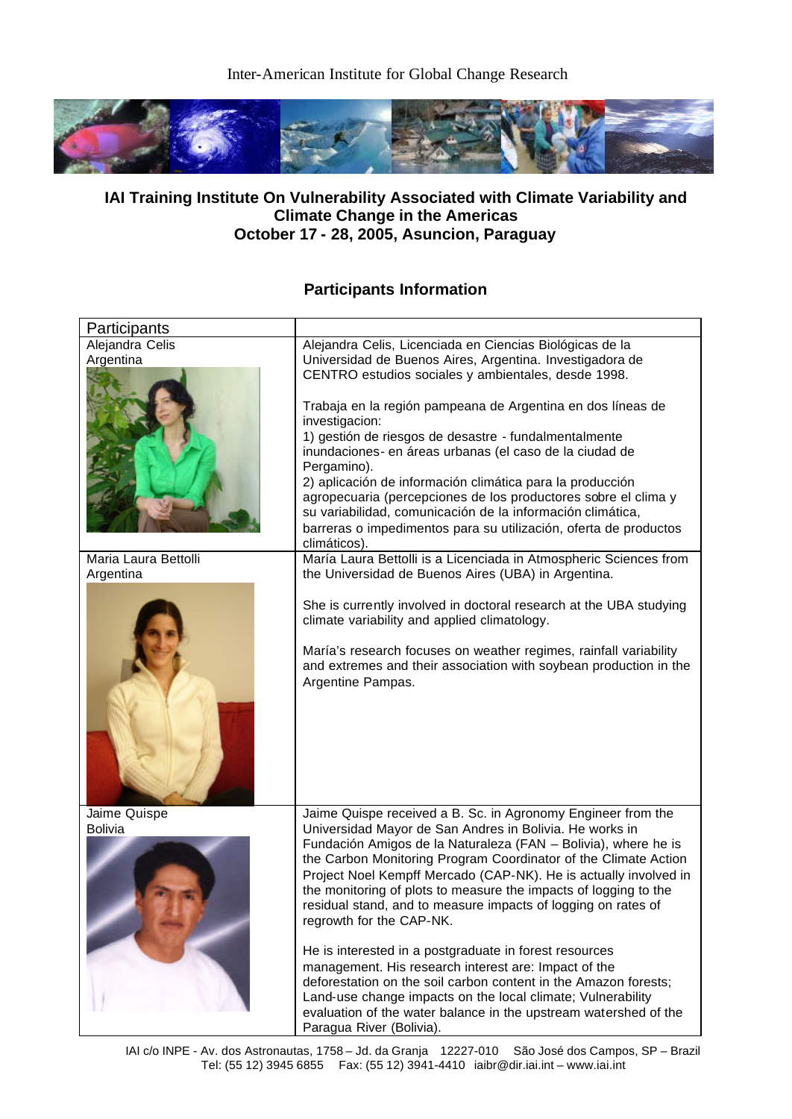Inter-American Institute for Global Change Research



## **IAI Training Institute On Vulnerability Associated with Climate Variability and Climate Change in the Americas October 17 - 28, 2005, Asuncion, Paraguay**

## **Participants Information**

| Participants                      |                                                                                                                                                                                                                                                                                                                                                                                                                                                                                                                                                                                                                                                                                                                                                                                                                                                       |
|-----------------------------------|-------------------------------------------------------------------------------------------------------------------------------------------------------------------------------------------------------------------------------------------------------------------------------------------------------------------------------------------------------------------------------------------------------------------------------------------------------------------------------------------------------------------------------------------------------------------------------------------------------------------------------------------------------------------------------------------------------------------------------------------------------------------------------------------------------------------------------------------------------|
| Alejandra Celis<br>Argentina      | Alejandra Celis, Licenciada en Ciencias Biológicas de la<br>Universidad de Buenos Aires, Argentina. Investigadora de<br>CENTRO estudios sociales y ambientales, desde 1998.<br>Trabaja en la región pampeana de Argentina en dos líneas de<br>investigacion:<br>1) gestión de riesgos de desastre - fundalmentalmente<br>inundaciones- en áreas urbanas (el caso de la ciudad de<br>Pergamino).<br>2) aplicación de información climática para la producción<br>agropecuaria (percepciones de los productores sobre el clima y<br>su variabilidad, comunicación de la información climática,<br>barreras o impedimentos para su utilización, oferta de productos<br>climáticos).                                                                                                                                                                      |
| Maria Laura Bettolli<br>Argentina | María Laura Bettolli is a Licenciada in Atmospheric Sciences from<br>the Universidad de Buenos Aires (UBA) in Argentina.<br>She is currently involved in doctoral research at the UBA studying<br>climate variability and applied climatology.<br>María's research focuses on weather regimes, rainfall variability<br>and extremes and their association with soybean production in the<br>Argentine Pampas.                                                                                                                                                                                                                                                                                                                                                                                                                                         |
| Jaime Quispe<br><b>Bolivia</b>    | Jaime Quispe received a B. Sc. in Agronomy Engineer from the<br>Universidad Mayor de San Andres in Bolivia. He works in<br>Fundación Amigos de la Naturaleza (FAN - Bolivia), where he is<br>the Carbon Monitoring Program Coordinator of the Climate Action<br>Project Noel Kempff Mercado (CAP-NK). He is actually involved in<br>the monitoring of plots to measure the impacts of logging to the<br>residual stand, and to measure impacts of logging on rates of<br>regrowth for the CAP-NK.<br>He is interested in a postgraduate in forest resources<br>management. His research interest are: Impact of the<br>deforestation on the soil carbon content in the Amazon forests;<br>Land-use change impacts on the local climate; Vulnerability<br>evaluation of the water balance in the upstream watershed of the<br>Paragua River (Bolivia). |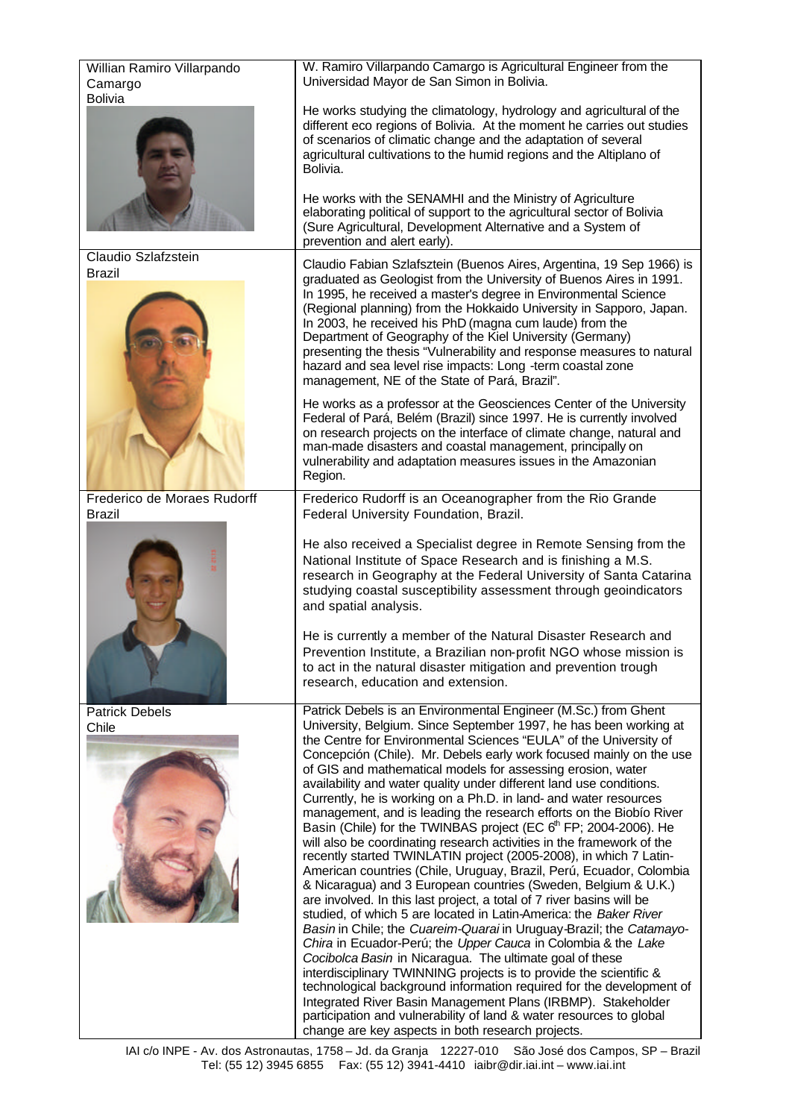| Willian Ramiro Villarpando<br>Camargo        | W. Ramiro Villarpando Camargo is Agricultural Engineer from the<br>Universidad Mayor de San Simon in Bolivia.                                                                                                                                                                                                                                                                                                                                                                                                                                                                                                                                                                                                                                                                                                                                                                                                                                                                                                                                                                                                                                                                                                                                                                                                                                                                                                                                                                                                                                                                                                                       |
|----------------------------------------------|-------------------------------------------------------------------------------------------------------------------------------------------------------------------------------------------------------------------------------------------------------------------------------------------------------------------------------------------------------------------------------------------------------------------------------------------------------------------------------------------------------------------------------------------------------------------------------------------------------------------------------------------------------------------------------------------------------------------------------------------------------------------------------------------------------------------------------------------------------------------------------------------------------------------------------------------------------------------------------------------------------------------------------------------------------------------------------------------------------------------------------------------------------------------------------------------------------------------------------------------------------------------------------------------------------------------------------------------------------------------------------------------------------------------------------------------------------------------------------------------------------------------------------------------------------------------------------------------------------------------------------------|
| <b>Bolivia</b>                               | He works studying the climatology, hydrology and agricultural of the<br>different eco regions of Bolivia. At the moment he carries out studies<br>of scenarios of climatic change and the adaptation of several<br>agricultural cultivations to the humid regions and the Altiplano of<br>Bolivia.                                                                                                                                                                                                                                                                                                                                                                                                                                                                                                                                                                                                                                                                                                                                                                                                                                                                                                                                                                                                                                                                                                                                                                                                                                                                                                                                  |
|                                              | He works with the SENAMHI and the Ministry of Agriculture<br>elaborating political of support to the agricultural sector of Bolivia<br>(Sure Agricultural, Development Alternative and a System of<br>prevention and alert early).                                                                                                                                                                                                                                                                                                                                                                                                                                                                                                                                                                                                                                                                                                                                                                                                                                                                                                                                                                                                                                                                                                                                                                                                                                                                                                                                                                                                  |
| Claudio Szlafzstein<br><b>Brazil</b>         | Claudio Fabian Szlafsztein (Buenos Aires, Argentina, 19 Sep 1966) is<br>graduated as Geologist from the University of Buenos Aires in 1991.<br>In 1995, he received a master's degree in Environmental Science<br>(Regional planning) from the Hokkaido University in Sapporo, Japan.<br>In 2003, he received his PhD (magna cum laude) from the<br>Department of Geography of the Kiel University (Germany)<br>presenting the thesis "Vulnerability and response measures to natural<br>hazard and sea level rise impacts: Long -term coastal zone<br>management, NE of the State of Pará, Brazil".                                                                                                                                                                                                                                                                                                                                                                                                                                                                                                                                                                                                                                                                                                                                                                                                                                                                                                                                                                                                                                |
|                                              | He works as a professor at the Geosciences Center of the University<br>Federal of Pará, Belém (Brazil) since 1997. He is currently involved<br>on research projects on the interface of climate change, natural and<br>man-made disasters and coastal management, principally on<br>vulnerability and adaptation measures issues in the Amazonian<br>Region.                                                                                                                                                                                                                                                                                                                                                                                                                                                                                                                                                                                                                                                                                                                                                                                                                                                                                                                                                                                                                                                                                                                                                                                                                                                                        |
| Frederico de Moraes Rudorff<br><b>Brazil</b> | Frederico Rudorff is an Oceanographer from the Rio Grande<br>Federal University Foundation, Brazil.                                                                                                                                                                                                                                                                                                                                                                                                                                                                                                                                                                                                                                                                                                                                                                                                                                                                                                                                                                                                                                                                                                                                                                                                                                                                                                                                                                                                                                                                                                                                 |
|                                              | He also received a Specialist degree in Remote Sensing from the<br>National Institute of Space Research and is finishing a M.S.<br>research in Geography at the Federal University of Santa Catarina<br>studying coastal susceptibility assessment through geoindicators<br>and spatial analysis.                                                                                                                                                                                                                                                                                                                                                                                                                                                                                                                                                                                                                                                                                                                                                                                                                                                                                                                                                                                                                                                                                                                                                                                                                                                                                                                                   |
|                                              | He is currently a member of the Natural Disaster Research and<br>Prevention Institute, a Brazilian non-profit NGO whose mission is<br>to act in the natural disaster mitigation and prevention trough<br>research, education and extension.                                                                                                                                                                                                                                                                                                                                                                                                                                                                                                                                                                                                                                                                                                                                                                                                                                                                                                                                                                                                                                                                                                                                                                                                                                                                                                                                                                                         |
| <b>Patrick Debels</b><br>Chile               | Patrick Debels is an Environmental Engineer (M.Sc.) from Ghent<br>University, Belgium. Since September 1997, he has been working at<br>the Centre for Environmental Sciences "EULA" of the University of<br>Concepción (Chile). Mr. Debels early work focused mainly on the use<br>of GIS and mathematical models for assessing erosion, water<br>availability and water quality under different land use conditions.<br>Currently, he is working on a Ph.D. in land- and water resources<br>management, and is leading the research efforts on the Biobío River<br>Basin (Chile) for the TWINBAS project (EC 6 <sup>th</sup> FP; 2004-2006). He<br>will also be coordinating research activities in the framework of the<br>recently started TWINLATIN project (2005-2008), in which 7 Latin-<br>American countries (Chile, Uruguay, Brazil, Perú, Ecuador, Colombia<br>& Nicaragua) and 3 European countries (Sweden, Belgium & U.K.)<br>are involved. In this last project, a total of 7 river basins will be<br>studied, of which 5 are located in Latin-America: the Baker River<br>Basin in Chile; the Cuareim-Quarai in Uruguay-Brazil; the Catamayo-<br>Chira in Ecuador-Perú; the Upper Cauca in Colombia & the Lake<br>Cocibolca Basin in Nicaragua. The ultimate goal of these<br>interdisciplinary TWINNING projects is to provide the scientific &<br>technological background information required for the development of<br>Integrated River Basin Management Plans (IRBMP). Stakeholder<br>participation and vulnerability of land & water resources to global<br>change are key aspects in both research projects. |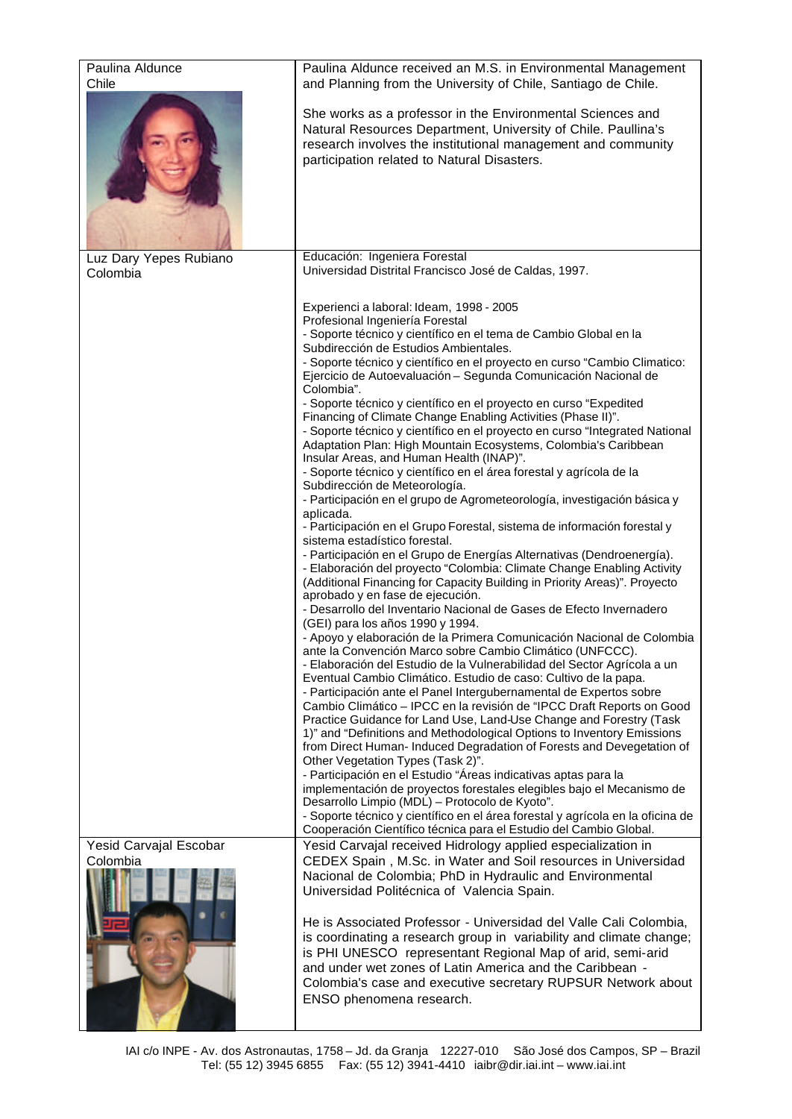| Paulina Aldunce<br>Chile | Paulina Aldunce received an M.S. in Environmental Management<br>and Planning from the University of Chile, Santiago de Chile.                                                                                                                                                                                                                                                                                                                                                                                                                                                                                                                                                                                                                                                                                                                                                                                                                                                                                                                                                                                                                                                                                                                                                                                                                                                                                                                                                                                                                                                                                                                                                                                                                                                                                                                                                                                                                                                                                                                                                                                                                                                                                                                                                                                                                                                                                                                                                                            |
|--------------------------|----------------------------------------------------------------------------------------------------------------------------------------------------------------------------------------------------------------------------------------------------------------------------------------------------------------------------------------------------------------------------------------------------------------------------------------------------------------------------------------------------------------------------------------------------------------------------------------------------------------------------------------------------------------------------------------------------------------------------------------------------------------------------------------------------------------------------------------------------------------------------------------------------------------------------------------------------------------------------------------------------------------------------------------------------------------------------------------------------------------------------------------------------------------------------------------------------------------------------------------------------------------------------------------------------------------------------------------------------------------------------------------------------------------------------------------------------------------------------------------------------------------------------------------------------------------------------------------------------------------------------------------------------------------------------------------------------------------------------------------------------------------------------------------------------------------------------------------------------------------------------------------------------------------------------------------------------------------------------------------------------------------------------------------------------------------------------------------------------------------------------------------------------------------------------------------------------------------------------------------------------------------------------------------------------------------------------------------------------------------------------------------------------------------------------------------------------------------------------------------------------------|
|                          | She works as a professor in the Environmental Sciences and<br>Natural Resources Department, University of Chile. Paullina's<br>research involves the institutional management and community<br>participation related to Natural Disasters.                                                                                                                                                                                                                                                                                                                                                                                                                                                                                                                                                                                                                                                                                                                                                                                                                                                                                                                                                                                                                                                                                                                                                                                                                                                                                                                                                                                                                                                                                                                                                                                                                                                                                                                                                                                                                                                                                                                                                                                                                                                                                                                                                                                                                                                               |
| Luz Dary Yepes Rubiano   | Educación: Ingeniera Forestal<br>Universidad Distrital Francisco José de Caldas, 1997.                                                                                                                                                                                                                                                                                                                                                                                                                                                                                                                                                                                                                                                                                                                                                                                                                                                                                                                                                                                                                                                                                                                                                                                                                                                                                                                                                                                                                                                                                                                                                                                                                                                                                                                                                                                                                                                                                                                                                                                                                                                                                                                                                                                                                                                                                                                                                                                                                   |
| Colombia                 |                                                                                                                                                                                                                                                                                                                                                                                                                                                                                                                                                                                                                                                                                                                                                                                                                                                                                                                                                                                                                                                                                                                                                                                                                                                                                                                                                                                                                                                                                                                                                                                                                                                                                                                                                                                                                                                                                                                                                                                                                                                                                                                                                                                                                                                                                                                                                                                                                                                                                                          |
| Yesid Carvajal Escobar   | Experienci a laboral: Ideam, 1998 - 2005<br>Profesional Ingeniería Forestal<br>- Soporte técnico y científico en el tema de Cambio Global en la<br>Subdirección de Estudios Ambientales.<br>- Soporte técnico y científico en el proyecto en curso "Cambio Climatico:<br>Ejercicio de Autoevaluación - Segunda Comunicación Nacional de<br>Colombia".<br>- Soporte técnico y científico en el proyecto en curso "Expedited<br>Financing of Climate Change Enabling Activities (Phase II)".<br>- Soporte técnico y científico en el proyecto en curso "Integrated National<br>Adaptation Plan: High Mountain Ecosystems, Colombia's Caribbean<br>Insular Areas, and Human Health (INAP)".<br>- Soporte técnico y científico en el área forestal y agrícola de la<br>Subdirección de Meteorología.<br>- Participación en el grupo de Agrometeorología, investigación básica y<br>aplicada.<br>- Participación en el Grupo Forestal, sistema de información forestal y<br>sistema estadístico forestal.<br>- Participación en el Grupo de Energías Alternativas (Dendroenergía).<br>- Elaboración del proyecto "Colombia: Climate Change Enabling Activity<br>(Additional Financing for Capacity Building in Priority Areas)". Proyecto<br>aprobado y en fase de ejecución.<br>- Desarrollo del Inventario Nacional de Gases de Efecto Invernadero<br>(GEI) para los años 1990 y 1994.<br>- Apoyo y elaboración de la Primera Comunicación Nacional de Colombia<br>ante la Convención Marco sobre Cambio Climático (UNFCCC).<br>- Elaboración del Estudio de la Vulnerabilidad del Sector Agrícola a un<br>Eventual Cambio Climático. Estudio de caso: Cultivo de la papa.<br>- Participación ante el Panel Intergubernamental de Expertos sobre<br>Cambio Climático - IPCC en la revisión de "IPCC Draft Reports on Good<br>Practice Guidance for Land Use, Land-Use Change and Forestry (Task<br>1)" and "Definitions and Methodological Options to Inventory Emissions<br>from Direct Human- Induced Degradation of Forests and Devegetation of<br>Other Vegetation Types (Task 2)".<br>- Participación en el Estudio "Áreas indicativas aptas para la<br>implementación de proyectos forestales elegibles bajo el Mecanismo de<br>Desarrollo Limpio (MDL) - Protocolo de Kyoto".<br>- Soporte técnico y científico en el área forestal y agrícola en la oficina de<br>Cooperación Científico técnica para el Estudio del Cambio Global.<br>Yesid Carvajal received Hidrology applied especialization in |
| Colombia                 | CEDEX Spain, M.Sc. in Water and Soil resources in Universidad<br>Nacional de Colombia; PhD in Hydraulic and Environmental<br>Universidad Politécnica of Valencia Spain.<br>He is Associated Professor - Universidad del Valle Cali Colombia,<br>is coordinating a research group in variability and climate change;<br>is PHI UNESCO representant Regional Map of arid, semi-arid<br>and under wet zones of Latin America and the Caribbean -<br>Colombia's case and executive secretary RUPSUR Network about<br>ENSO phenomena research.                                                                                                                                                                                                                                                                                                                                                                                                                                                                                                                                                                                                                                                                                                                                                                                                                                                                                                                                                                                                                                                                                                                                                                                                                                                                                                                                                                                                                                                                                                                                                                                                                                                                                                                                                                                                                                                                                                                                                                |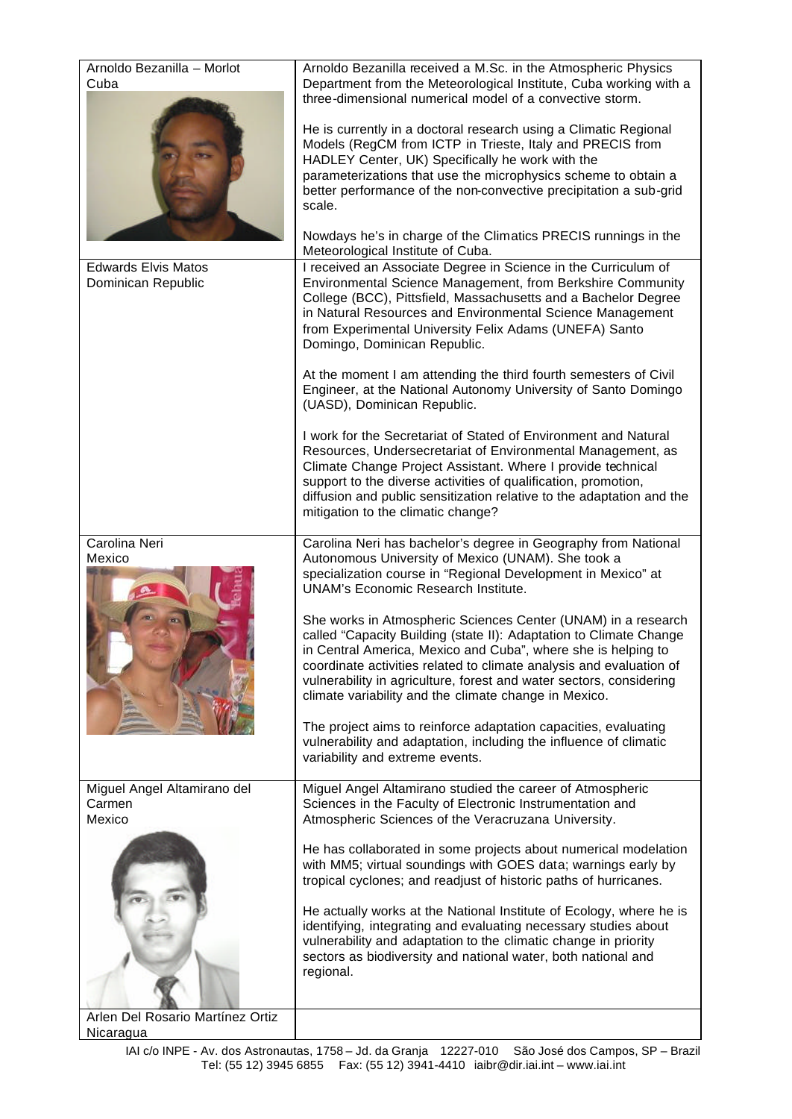| Arnoldo Bezanilla - Morlot<br>Cuba<br><b>Edwards Elvis Matos</b><br>Dominican Republic | Arnoldo Bezanilla received a M.Sc. in the Atmospheric Physics<br>Department from the Meteorological Institute, Cuba working with a<br>three-dimensional numerical model of a convective storm.<br>He is currently in a doctoral research using a Climatic Regional<br>Models (RegCM from ICTP in Trieste, Italy and PRECIS from<br>HADLEY Center, UK) Specifically he work with the<br>parameterizations that use the microphysics scheme to obtain a<br>better performance of the non-convective precipitation a sub-grid<br>scale.<br>Nowdays he's in charge of the Climatics PRECIS runnings in the<br>Meteorological Institute of Cuba.<br>I received an Associate Degree in Science in the Curriculum of<br>Environmental Science Management, from Berkshire Community<br>College (BCC), Pittsfield, Massachusetts and a Bachelor Degree<br>in Natural Resources and Environmental Science Management<br>from Experimental University Felix Adams (UNEFA) Santo<br>Domingo, Dominican Republic. |
|----------------------------------------------------------------------------------------|------------------------------------------------------------------------------------------------------------------------------------------------------------------------------------------------------------------------------------------------------------------------------------------------------------------------------------------------------------------------------------------------------------------------------------------------------------------------------------------------------------------------------------------------------------------------------------------------------------------------------------------------------------------------------------------------------------------------------------------------------------------------------------------------------------------------------------------------------------------------------------------------------------------------------------------------------------------------------------------------------|
|                                                                                        | At the moment I am attending the third fourth semesters of Civil<br>Engineer, at the National Autonomy University of Santo Domingo<br>(UASD), Dominican Republic.                                                                                                                                                                                                                                                                                                                                                                                                                                                                                                                                                                                                                                                                                                                                                                                                                                    |
|                                                                                        | I work for the Secretariat of Stated of Environment and Natural<br>Resources, Undersecretariat of Environmental Management, as<br>Climate Change Project Assistant. Where I provide technical<br>support to the diverse activities of qualification, promotion,<br>diffusion and public sensitization relative to the adaptation and the<br>mitigation to the climatic change?                                                                                                                                                                                                                                                                                                                                                                                                                                                                                                                                                                                                                       |
| Carolina Neri<br>Mexico                                                                | Carolina Neri has bachelor's degree in Geography from National<br>Autonomous University of Mexico (UNAM). She took a<br>specialization course in "Regional Development in Mexico" at<br><b>UNAM's Economic Research Institute.</b><br>She works in Atmospheric Sciences Center (UNAM) in a research<br>called "Capacity Building (state II): Adaptation to Climate Change<br>in Central America, Mexico and Cuba", where she is helping to<br>coordinate activities related to climate analysis and evaluation of<br>vulnerability in agriculture, forest and water sectors, considering<br>climate variability and the climate change in Mexico.<br>The project aims to reinforce adaptation capacities, evaluating<br>vulnerability and adaptation, including the influence of climatic<br>variability and extreme events.                                                                                                                                                                         |
| Miguel Angel Altamirano del<br>Carmen<br>Mexico                                        | Miguel Angel Altamirano studied the career of Atmospheric<br>Sciences in the Faculty of Electronic Instrumentation and<br>Atmospheric Sciences of the Veracruzana University.                                                                                                                                                                                                                                                                                                                                                                                                                                                                                                                                                                                                                                                                                                                                                                                                                        |
| Arlen Del Rosario Martínez Ortiz<br>Nicaragua                                          | He has collaborated in some projects about numerical modelation<br>with MM5; virtual soundings with GOES data; warnings early by<br>tropical cyclones; and readjust of historic paths of hurricanes.<br>He actually works at the National Institute of Ecology, where he is<br>identifying, integrating and evaluating necessary studies about<br>vulnerability and adaptation to the climatic change in priority<br>sectors as biodiversity and national water, both national and<br>regional.                                                                                                                                                                                                                                                                                                                                                                                                                                                                                                      |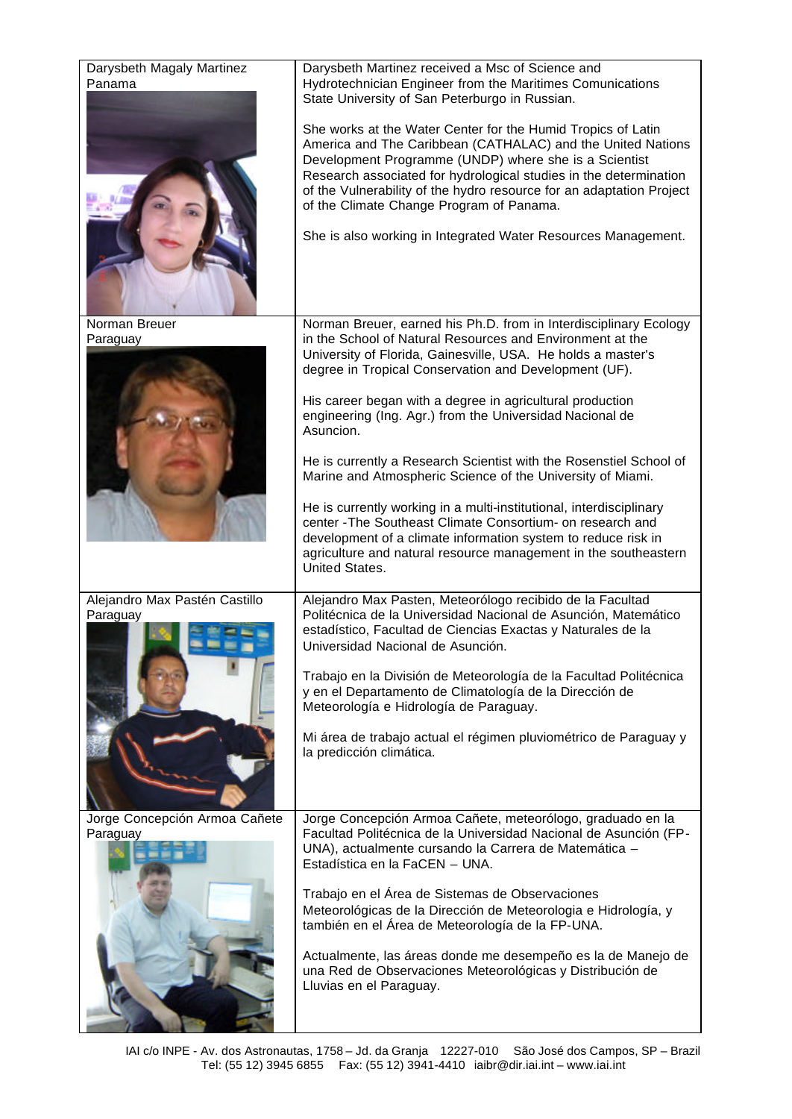| Darysbeth Magaly Martinez<br>Panama       | Darysbeth Martinez received a Msc of Science and<br>Hydrotechnician Engineer from the Maritimes Comunications<br>State University of San Peterburgo in Russian.                                                                                                                                                                                                               |
|-------------------------------------------|-------------------------------------------------------------------------------------------------------------------------------------------------------------------------------------------------------------------------------------------------------------------------------------------------------------------------------------------------------------------------------|
|                                           | She works at the Water Center for the Humid Tropics of Latin<br>America and The Caribbean (CATHALAC) and the United Nations<br>Development Programme (UNDP) where she is a Scientist<br>Research associated for hydrological studies in the determination<br>of the Vulnerability of the hydro resource for an adaptation Project<br>of the Climate Change Program of Panama. |
|                                           | She is also working in Integrated Water Resources Management.                                                                                                                                                                                                                                                                                                                 |
| Norman Breuer                             | Norman Breuer, earned his Ph.D. from in Interdisciplinary Ecology<br>in the School of Natural Resources and Environment at the                                                                                                                                                                                                                                                |
| Paraguay                                  | University of Florida, Gainesville, USA. He holds a master's<br>degree in Tropical Conservation and Development (UF).                                                                                                                                                                                                                                                         |
|                                           | His career began with a degree in agricultural production<br>engineering (Ing. Agr.) from the Universidad Nacional de<br>Asuncion.                                                                                                                                                                                                                                            |
|                                           | He is currently a Research Scientist with the Rosenstiel School of<br>Marine and Atmospheric Science of the University of Miami.                                                                                                                                                                                                                                              |
|                                           | He is currently working in a multi-institutional, interdisciplinary<br>center - The Southeast Climate Consortium- on research and<br>development of a climate information system to reduce risk in<br>agriculture and natural resource management in the southeastern<br>United States.                                                                                       |
| Alejandro Max Pastén Castillo<br>Paraguay | Alejandro Max Pasten, Meteorólogo recibido de la Facultad<br>Politécnica de la Universidad Nacional de Asunción, Matemático<br>estadístico, Facultad de Ciencias Exactas y Naturales de la<br>Universidad Nacional de Asunción.                                                                                                                                               |
|                                           | Trabajo en la División de Meteorología de la Facultad Politécnica<br>y en el Departamento de Climatología de la Dirección de<br>Meteorología e Hidrología de Paraguay.                                                                                                                                                                                                        |
|                                           | Mi área de trabajo actual el régimen pluviométrico de Paraguay y<br>la predicción climática.                                                                                                                                                                                                                                                                                  |
|                                           |                                                                                                                                                                                                                                                                                                                                                                               |
| Jorge Concepción Armoa Cañete<br>Paraguay | Jorge Concepción Armoa Cañete, meteorólogo, graduado en la<br>Facultad Politécnica de la Universidad Nacional de Asunción (FP-<br>UNA), actualmente cursando la Carrera de Matemática -<br>Estadística en la FaCEN - UNA.                                                                                                                                                     |
|                                           | Trabajo en el Área de Sistemas de Observaciones<br>Meteorológicas de la Dirección de Meteorologia e Hidrología, y<br>también en el Área de Meteorología de la FP-UNA.                                                                                                                                                                                                         |
|                                           | Actualmente, las áreas donde me desempeño es la de Manejo de<br>una Red de Observaciones Meteorológicas y Distribución de<br>Lluvias en el Paraguay.                                                                                                                                                                                                                          |
|                                           |                                                                                                                                                                                                                                                                                                                                                                               |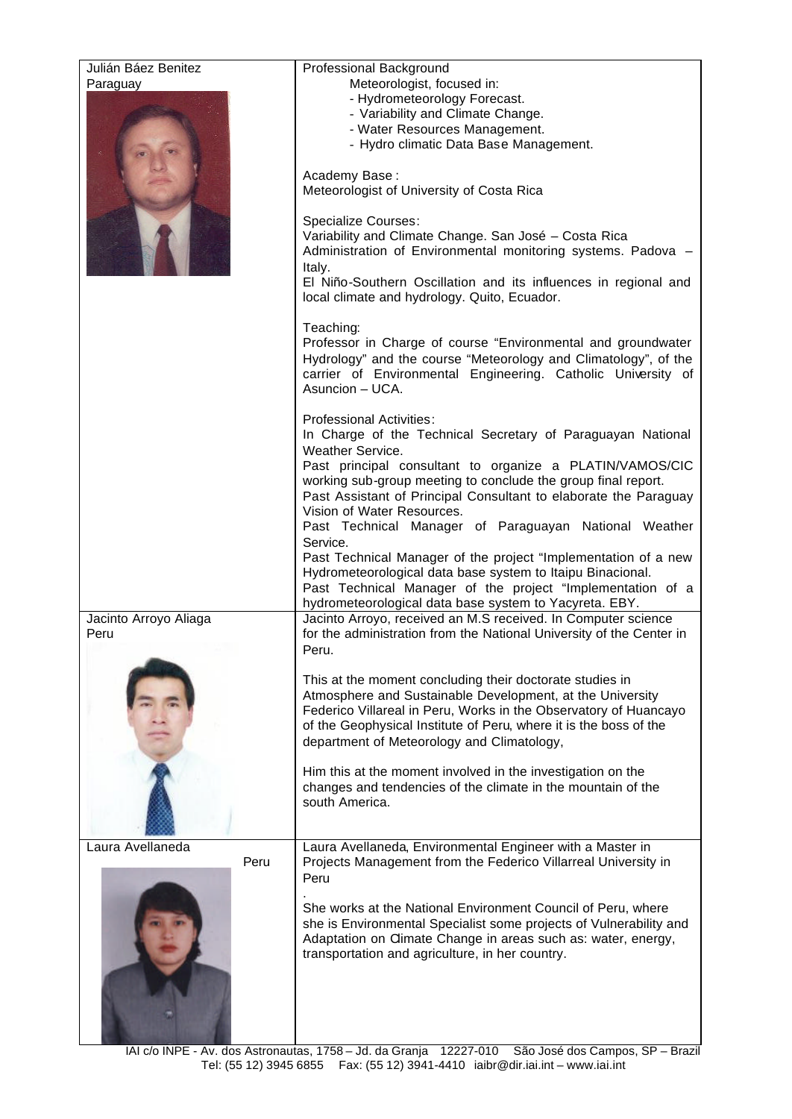| Julián Báez Benitez<br>Paraguay | Professional Background<br>Meteorologist, focused in:<br>- Hydrometeorology Forecast.<br>- Variability and Climate Change.<br>- Water Resources Management.<br>- Hydro climatic Data Base Management.<br>Academy Base:<br>Meteorologist of University of Costa Rica<br><b>Specialize Courses:</b><br>Variability and Climate Change. San José - Costa Rica<br>Administration of Environmental monitoring systems. Padova -<br>Italy.<br>El Niño-Southern Oscillation and its influences in regional and                                                                                                                                                                        |
|---------------------------------|--------------------------------------------------------------------------------------------------------------------------------------------------------------------------------------------------------------------------------------------------------------------------------------------------------------------------------------------------------------------------------------------------------------------------------------------------------------------------------------------------------------------------------------------------------------------------------------------------------------------------------------------------------------------------------|
|                                 | local climate and hydrology. Quito, Ecuador.<br>Teaching:<br>Professor in Charge of course "Environmental and groundwater<br>Hydrology" and the course "Meteorology and Climatology", of the<br>carrier of Environmental Engineering. Catholic University of<br>Asuncion - UCA.                                                                                                                                                                                                                                                                                                                                                                                                |
|                                 | <b>Professional Activities:</b><br>In Charge of the Technical Secretary of Paraguayan National<br>Weather Service.<br>Past principal consultant to organize a PLATIN/VAMOS/CIC<br>working sub-group meeting to conclude the group final report.<br>Past Assistant of Principal Consultant to elaborate the Paraguay<br>Vision of Water Resources.<br>Past Technical Manager of Paraguayan National Weather<br>Service.<br>Past Technical Manager of the project "Implementation of a new<br>Hydrometeorological data base system to Itaipu Binacional.<br>Past Technical Manager of the project "Implementation of a<br>hydrometeorological data base system to Yacyreta. EBY. |
| Jacinto Arroyo Aliaga<br>Peru   | Jacinto Arroyo, received an M.S received. In Computer science<br>for the administration from the National University of the Center in<br>Peru.                                                                                                                                                                                                                                                                                                                                                                                                                                                                                                                                 |
|                                 | This at the moment concluding their doctorate studies in<br>Atmosphere and Sustainable Development, at the University<br>Federico Villareal in Peru, Works in the Observatory of Huancayo<br>of the Geophysical Institute of Peru, where it is the boss of the<br>department of Meteorology and Climatology,                                                                                                                                                                                                                                                                                                                                                                   |
|                                 | Him this at the moment involved in the investigation on the<br>changes and tendencies of the climate in the mountain of the<br>south America.                                                                                                                                                                                                                                                                                                                                                                                                                                                                                                                                  |
| Laura Avellaneda<br>Peru        | Laura Avellaneda, Environmental Engineer with a Master in<br>Projects Management from the Federico Villarreal University in<br>Peru                                                                                                                                                                                                                                                                                                                                                                                                                                                                                                                                            |
|                                 | She works at the National Environment Council of Peru, where<br>she is Environmental Specialist some projects of Vulnerability and<br>Adaptation on Climate Change in areas such as: water, energy,<br>transportation and agriculture, in her country.                                                                                                                                                                                                                                                                                                                                                                                                                         |